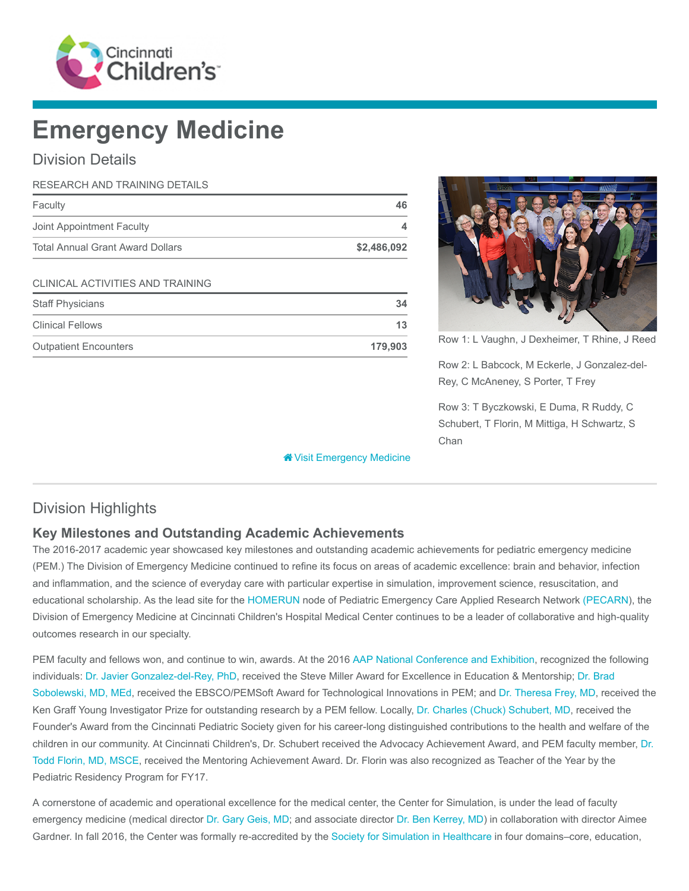

# Emergency Medicine

### Division Details

| RESEARCH AND TRAINING DETAILS           |             |
|-----------------------------------------|-------------|
| Faculty                                 | 46          |
| Joint Appointment Faculty               | 4           |
| <b>Total Annual Grant Award Dollars</b> | \$2,486,092 |
| CLINICAL ACTIVITIES AND TRAINING        |             |
| <b>Staff Physicians</b>                 | 34          |
| <b>Clinical Fellows</b>                 | 13          |



Row 1: L Vaughn, J Dexheimer, T Rhine, J Reed

Row 2: L Babcock, M Eckerle, J Gonzalez-del-Rey, C McAneney, S Porter, T Frey

Row 3: T Byczkowski, E Duma, R Ruddy, C Schubert, T Florin, M Mittiga, H Schwartz, S Chan

| <b>Clinical Fellows</b>      |         |
|------------------------------|---------|
| <b>Outpatient Encounters</b> | 179,903 |

# Division Highlights

#### Key Milestones and Outstanding Academic Achievements

The 2016-2017 academic year showcased key milestones and outstanding academic achievements for pediatric emergency medicine (PEM.) The Division of Emergency Medicine continued to refine its focus on areas of academic excellence: brain and behavior, infection and inflammation, and the science of everyday care with particular expertise in simulation, improvement science, resuscitation, and educational scholarship. As the lead site for the [HOMERUN](http://www.pecarn.org/researchNodes/homerun.html) node of Pediatric Emergency Care Applied Research Network [\(PECARN](http://www.pecarn.org/index.html)), the Division of Emergency Medicine at Cincinnati Children's Hospital Medical Center continues to be a leader of collaborative and high-quality outcomes research in our specialty.

**We [Visit Emergency Medicine](https://www.cincinnatichildrens.org/research/divisions/e/emergency)** 

PEM faculty and fellows won, and continue to win, awards. At the 2016 [AAP National Conference and Exhibition](http://aapexperience.org/), recognized the following [individuals:](https://www.cincinnatichildrens.org/bio/s/brad-sobolewski) [Dr. Javier Gonzalez-del-Rey, Ph](https://www.cincinnatichildrens.org/bio/g/javier-gonzalez)[D, received the Steve Miller Award for Excellence in Education & Mentorship; Dr. Brad](https://www.cincinnatichildrens.org/bio/s/brad-sobolewski) Sobolewski, MD, MEd, received the EBSCO/PEMSoft Award for Technological Innovations in PEM; and [Dr. Theresa Frey, MD](https://www.cincinnatichildrens.org/bio/f/theresa-frey), received the Ken Graff Young Investigator Prize for outstanding research by a PEM fellow. Locally, [Dr. Charles \(Chuck\) Schubert, MD](https://www.cincinnatichildrens.org/bio/s/charles-schubert), received the Founder's Award from the Cincinnati Pediatric Society given for his career-long distinguished contributions to the health and welfare of the [children in our community. At Cincinnati Children's, Dr. Schubert received the Advocacy Achievement Award, and PEM faculty member, Dr.](https://www.cincinnatichildrens.org/bio/f/todd-florin) Todd Florin, MD, MSCE, received the Mentoring Achievement Award. Dr. Florin was also recognized as Teacher of the Year by the Pediatric Residency Program for FY17.

A cornerstone of academic and operational excellence for the medical center, the Center for Simulation, is under the lead of faculty emergency medicine (medical director [Dr. Gary Geis, MD](https://www.cincinnatichildrens.org/bio/g/gary-geis); and associate director [Dr. Ben Kerrey, MD\)](https://www.cincinnatichildrens.org/bio/k/benjamin-kerrey) in collaboration with director Aimee Gardner. In fall 2016, the Center was formally re-accredited by the [Society for Simulation in Healthcare](http://www.ssih.org/) in four domains–core, education,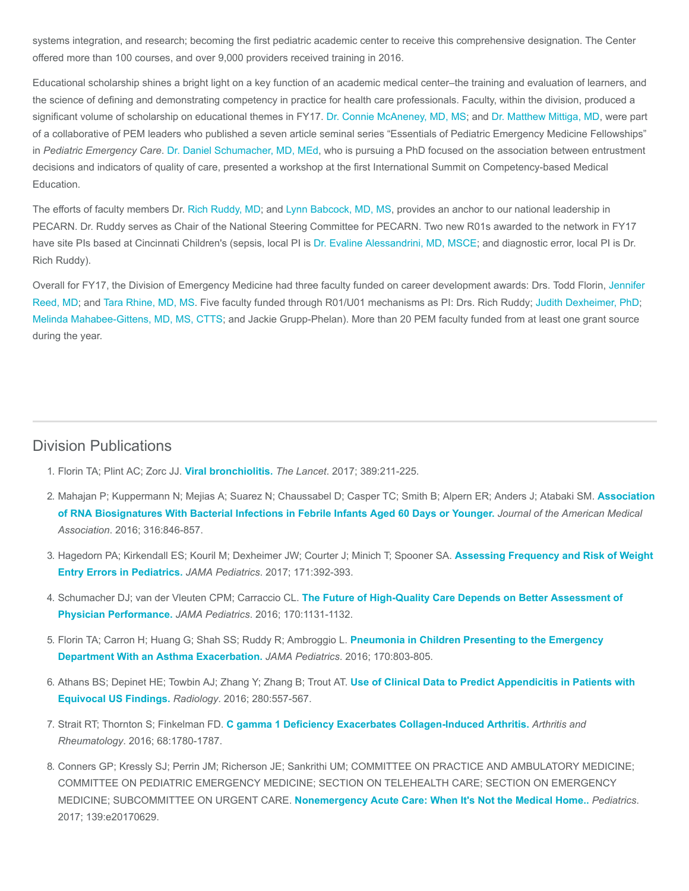systems integration, and research; becoming the first pediatric academic center to receive this comprehensive designation. The Center offered more than 100 courses, and over 9,000 providers received training in 2016.

Educational scholarship shines a bright light on a key function of an academic medical center–the training and evaluation of learners, and the science of defining and demonstrating competency in practice for health care professionals. Faculty, within the division, produced a significant volume of scholarship on educational themes in FY17. [Dr. Connie McAneney, MD, MS](https://www.cincinnatichildrens.org/bio/m/constance-mcaneney); and [Dr. Matthew Mittiga, MD](https://www.cincinnatichildrens.org/bio/m/matthew-mittiga), were part of a collaborative of PEM leaders who published a seven article seminal series "Essentials of Pediatric Emergency Medicine Fellowships" in Pediatric Emergency Care. [Dr. Daniel Schumacher, MD, MEd](https://www.cincinnatichildrens.org/bio/s/daniel-schumacher), who is pursuing a PhD focused on the association between entrustment decisions and indicators of quality of care, presented a workshop at the first International Summit on Competency-based Medical Education.

The efforts of faculty members Dr. [Rich Ruddy, MD;](https://www.cincinnatichildrens.org/bio/r/richard-ruddy) and [Lynn Babcock, MD, MS,](https://www.cincinnatichildrens.org/bio/b/lynn-babcock) provides an anchor to our national leadership in PECARN. Dr. Ruddy serves as Chair of the National Steering Committee for PECARN. Two new R01s awarded to the network in FY17 have site PIs based at Cincinnati Children's (sepsis, local PI is [Dr. Evaline Alessandrini, MD, MSCE;](https://www.cincinnatichildrens.org/bio/a/evaline-alessandrini) and diagnostic error, local PI is Dr. Rich Ruddy).

[Overall for FY17, the Division of Emergency Medicine had three faculty funded on career development awards: Drs. Todd Florin, Jennifer](https://www.cincinnatichildrens.org/bio/r/jennifer-reed) Reed, MD; and [Tara Rhine, MD, MS](https://www.cincinnatichildrens.org/bio/r/tara-rhine). Five faculty funded through R01/U01 mechanisms as PI: Drs. Rich Ruddy; [Judith Dexheimer, PhD](https://www.cincinnatichildrens.org/bio/d/judith-dexheimer); [Melinda Mahabee-Gittens, MD, MS, CTTS;](https://www.cincinnatichildrens.org/bio/m/melinda-mahabee-gittens) and Jackie Grupp-Phelan). More than 20 PEM faculty funded from at least one grant source during the year.

#### Division Publications

- 1. Florin TA; Plint AC; Zorc JJ. [Viral bronchiolitis.](https://www.ncbi.nlm.nih.gov/pubmed/27549684) The Lancet. 2017; 389:211-225.
- 2. [Mahajan P; Kuppermann N; Mejias A; Suarez N; Chaussabel D; Casper TC; Smith B; Alpern ER; Anders J; Atabaki SM.](https://www.ncbi.nlm.nih.gov/pubmed/27552618) Association of RNA Biosignatures With Bacterial Infections in Febrile Infants Aged 60 Days or Younger. Journal of the American Medical Association. 2016; 316:846-857.
- 3. [Hagedorn PA; Kirkendall ES; Kouril M; Dexheimer JW; Courter J; Minich T; Spooner SA.](https://www.ncbi.nlm.nih.gov/pubmed/28152133) Assessing Frequency and Risk of Weight Entry Errors in Pediatrics. JAMA Pediatrics. 2017; 171:392-393.
- 4. Schumacher DJ; van der Vleuten CPM; Carraccio CL. [The Future of High-Quality Care Depends on Better Assessment of](https://www.ncbi.nlm.nih.gov/pubmed/27695827) Physician Performance. JAMA Pediatrics. 2016; 170:1131-1132.
- 5. [Florin TA; Carron H; Huang G; Shah SS; Ruddy R; Ambroggio L.](https://www.ncbi.nlm.nih.gov/pubmed/27270612) Pneumonia in Children Presenting to the Emergency Department With an Asthma Exacerbation. JAMA Pediatrics. 2016; 170:803-805.
- 6. [Athans BS; Depinet HE; Towbin AJ; Zhang Y; Zhang B; Trout AT.](https://www.ncbi.nlm.nih.gov/pubmed/26878226) Use of Clinical Data to Predict Appendicitis in Patients with Equivocal US Findings. Radiology. 2016; 280:557-567.
- 7. Strait RT; Thornton S; Finkelman FD. [C gamma 1 Deficiency Exacerbates Collagen-Induced Arthritis.](https://www.ncbi.nlm.nih.gov/pubmed/26815845) Arthritis and Rheumatology. 2016; 68:1780-1787.
- 8. Conners GP; Kressly SJ; Perrin JM; Richerson JE; Sankrithi UM; COMMITTEE ON PRACTICE AND AMBULATORY MEDICINE; COMMITTEE ON PEDIATRIC EMERGENCY MEDICINE; SECTION ON TELEHEALTH CARE; SECTION ON EMERGENCY MEDICINE; SUBCOMMITTEE ON URGENT CARE. [Nonemergency Acute Care: When It's Not the Medical Home..](https://www.ncbi.nlm.nih.gov/pubmed/28557775) Pediatrics. 2017; 139:e20170629.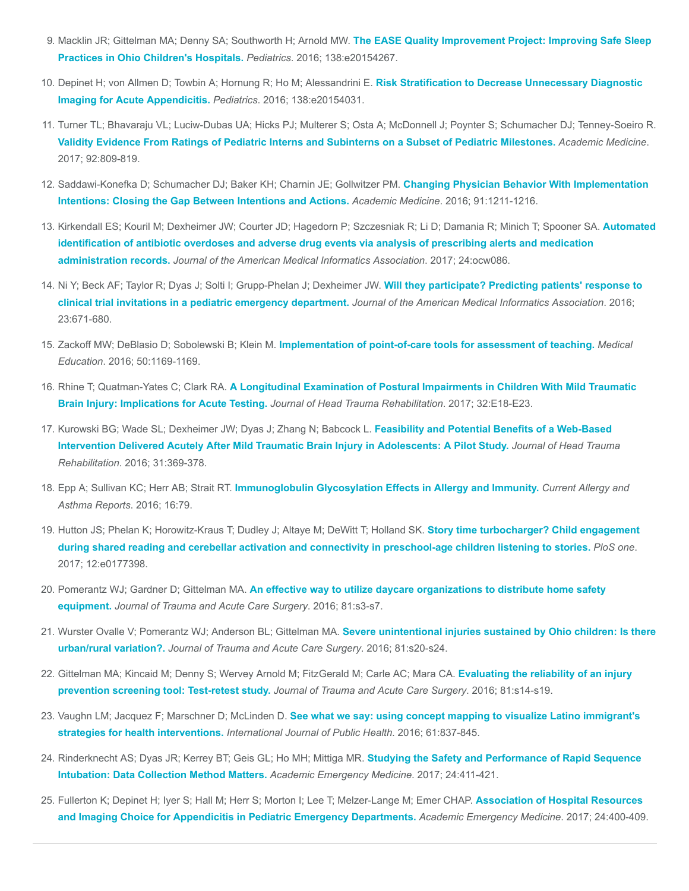- 9. [Macklin JR; Gittelman MA; Denny SA; Southworth H; Arnold MW.](https://www.ncbi.nlm.nih.gov/pubmed/27630074) The EASE Quality Improvement Project: Improving Safe Sleep Practices in Ohio Children's Hospitals. Pediatrics. 2016; 138:e20154267.
- 10. [Depinet H; von Allmen D; Towbin A; Hornung R; Ho M; Alessandrini E.](https://www.ncbi.nlm.nih.gov/pubmed/27553220) Risk Stratification to Decrease Unnecessary Diagnostic Imaging for Acute Appendicitis. Pediatrics. 2016; 138:e20154031.
- 11. Turner TL; Bhavaraju VL; Luciw-Dubas UA; Hicks PJ; Multerer S; Osta A; McDonnell J; Poynter S; Schumacher DJ; Tenney-Soeiro R. [Validity Evidence From Ratings of Pediatric Interns and Subinterns on a Subset of Pediatric Milestones.](https://www.ncbi.nlm.nih.gov/pubmed/28225462) Academic Medicine. 2017; 92:809-819.
- 12. [Saddawi-Konefka D; Schumacher DJ; Baker KH; Charnin JE; Gollwitzer PM.](https://www.ncbi.nlm.nih.gov/pubmed/27008360) Changing Physician Behavior With Implementation Intentions: Closing the Gap Between Intentions and Actions. Academic Medicine. 2016; 91:1211-1216.
- 13. [Kirkendall ES; Kouril M; Dexheimer JW; Courter JD; Hagedorn P; Szczesniak R; Li D; Damania R; Minich T; Spooner SA.](https://www.ncbi.nlm.nih.gov/pubmed/27507653) Automated identification of antibiotic overdoses and adverse drug events via analysis of prescribing alerts and medication administration records. Journal of the American Medical Informatics Association. 2017; 24:ocw086.
- 14. [Ni Y; Beck AF; Taylor R; Dyas J; Solti I; Grupp-Phelan J; Dexheimer JW.](https://www.ncbi.nlm.nih.gov/pubmed/27121609) Will they participate? Predicting patients' response to clinical trial invitations in a pediatric emergency department. Journal of the American Medical Informatics Association. 2016; 23:671-680.
- 15. Zackoff MW; DeBlasio D; Sobolewski B; Klein M. [Implementation of point-of-care tools for assessment of teaching.](https://www.ncbi.nlm.nih.gov/pubmed/27761997) Medical Education. 2016; 50:1169-1169.
- 16. Rhine T; Quatman-Yates C; Clark RA. [A Longitudinal Examination of Postural Impairments in Children With Mild Traumatic](https://www.ncbi.nlm.nih.gov/pubmed/26580689) Brain Injury: Implications for Acute Testing. Journal of Head Trauma Rehabilitation. 2017; 32:E18-E23.
- 17. Kurowski BG; Wade SL; Dexheimer JW; Dyas J; Zhang N; Babcock L. Feasibility and Potential Benefits of a Web-Based [Intervention Delivered Acutely After Mild Traumatic Brain Injury in Adolescents: A Pilot Study.](https://www.ncbi.nlm.nih.gov/pubmed/26360000) Journal of Head Trauma Rehabilitation. 2016; 31:369-378.
- 18. Epp A; Sullivan KC; Herr AB; Strait RT. [Immunoglobulin Glycosylation Effects in Allergy and Immunity.](https://www.ncbi.nlm.nih.gov/pubmed/27796794) Current Allergy and Asthma Reports. 2016; 16:79.
- 19. Hutton JS; Phelan K; Horowitz-Kraus T; Dudley J; Altaye M; DeWitt T; Holland SK. Story time turbocharger? Child engagement [during shared reading and cerebellar activation and connectivity in preschool-age children listening to stories.](https://www.ncbi.nlm.nih.gov/pubmed/28562619) PloS one. 2017; 12:e0177398.
- 20. Pomerantz WJ; Gardner D; Gittelman MA. [An effective way to utilize daycare organizations to distribute home safety](https://www.ncbi.nlm.nih.gov/pubmed/27488482) equipment. Journal of Trauma and Acute Care Surgery. 2016; 81:s3-s7.
- 21. [Wurster Ovalle V; Pomerantz WJ; Anderson BL; Gittelman MA.](https://www.ncbi.nlm.nih.gov/pubmed/27488484) Severe unintentional injuries sustained by Ohio children: Is there urban/rural variation?. Journal of Trauma and Acute Care Surgery. 2016; 81:s20-s24.
- 22. [Gittelman MA; Kincaid M; Denny S; Wervey Arnold M; FitzGerald M; Carle AC; Mara CA.](https://www.ncbi.nlm.nih.gov/pubmed/27488487) Evaluating the reliability of an injury prevention screening tool: Test-retest study. Journal of Trauma and Acute Care Surgery. 2016; 81:s14-s19.
- 23. Vaughn LM; Jacquez F; Marschner D; McLinden D. [See what we say: using concept mapping to visualize Latino immigrant's](https://www.ncbi.nlm.nih.gov/pubmed/27220545) strategies for health interventions. International Journal of Public Health. 2016; 61:837-845.
- 24. [Rinderknecht AS; Dyas JR; Kerrey BT; Geis GL; Ho MH; Mittiga MR.](https://www.ncbi.nlm.nih.gov/pubmed/27976450) Studying the Safety and Performance of Rapid Sequence Intubation: Data Collection Method Matters. Academic Emergency Medicine. 2017; 24:411-421.
- 25. [Fullerton K; Depinet H; Iyer S; Hall M; Herr S; Morton I; Lee T; Melzer-Lange M; Emer CHAP.](https://www.ncbi.nlm.nih.gov/pubmed/28039951) Association of Hospital Resources and Imaging Choice for Appendicitis in Pediatric Emergency Departments. Academic Emergency Medicine. 2017; 24:400-409.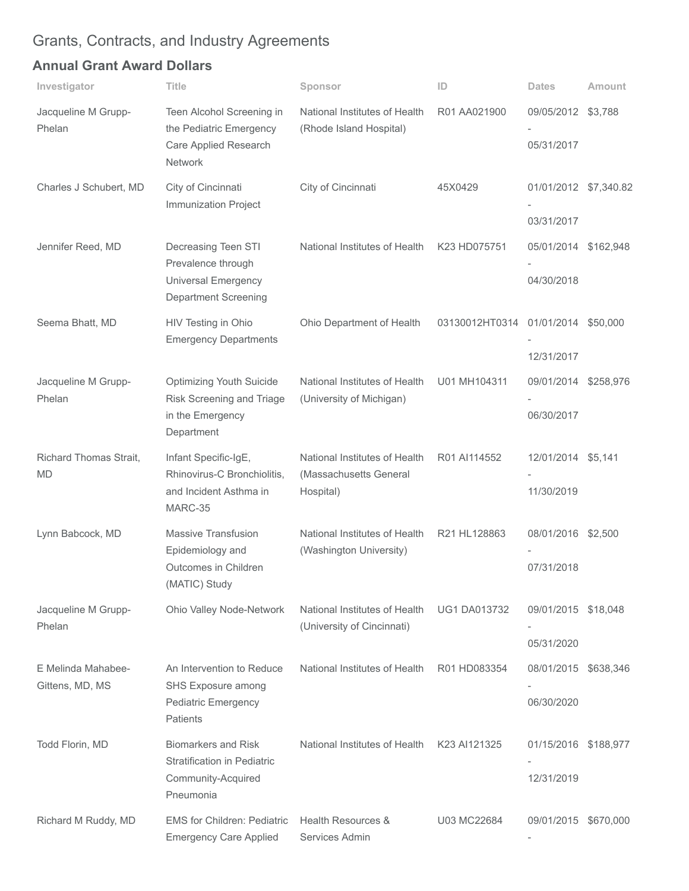# Grants, Contracts, and Industry Agreements

## Annual Grant Award Dollars

| Investigator                          | Title                                                                                                  | Sponsor                                                              | ID                                 | <b>Dates</b>                                     | Amount    |
|---------------------------------------|--------------------------------------------------------------------------------------------------------|----------------------------------------------------------------------|------------------------------------|--------------------------------------------------|-----------|
| Jacqueline M Grupp-<br>Phelan         | Teen Alcohol Screening in<br>the Pediatric Emergency<br>Care Applied Research<br>Network               | National Institutes of Health<br>(Rhode Island Hospital)             | R01 AA021900                       | 09/05/2012 \$3,788<br>05/31/2017                 |           |
| Charles J Schubert, MD                | City of Cincinnati<br>Immunization Project                                                             | City of Cincinnati                                                   | 45X0429                            | 01/01/2012 \$7,340.82                            |           |
| Jennifer Reed, MD                     | Decreasing Teen STI<br>Prevalence through<br><b>Universal Emergency</b><br><b>Department Screening</b> | National Institutes of Health                                        | K23 HD075751                       | 03/31/2017<br>05/01/2014 \$162,948<br>04/30/2018 |           |
| Seema Bhatt, MD                       | HIV Testing in Ohio<br><b>Emergency Departments</b>                                                    | Ohio Department of Health                                            | 03130012HT0314 01/01/2014 \$50,000 | 12/31/2017                                       |           |
| Jacqueline M Grupp-<br>Phelan         | <b>Optimizing Youth Suicide</b><br>Risk Screening and Triage<br>in the Emergency<br>Department         | National Institutes of Health<br>(University of Michigan)            | U01 MH104311                       | 09/01/2014 \$258,976<br>06/30/2017               |           |
| Richard Thomas Strait,<br><b>MD</b>   | Infant Specific-IgE,<br>Rhinovirus-C Bronchiolitis,<br>and Incident Asthma in<br>MARC-35               | National Institutes of Health<br>(Massachusetts General<br>Hospital) | R01 AI114552                       | 12/01/2014 \$5,141<br>11/30/2019                 |           |
| Lynn Babcock, MD                      | <b>Massive Transfusion</b><br>Epidemiology and<br>Outcomes in Children<br>(MATIC) Study                | National Institutes of Health<br>(Washington University)             | R21 HL128863                       | 08/01/2016 \$2,500<br>07/31/2018                 |           |
| Jacqueline M Grupp-<br>Phelan         | Ohio Valley Node-Network                                                                               | National Institutes of Health<br>(University of Cincinnati)          | <b>UG1 DA013732</b>                | 09/01/2015 \$18,048<br>05/31/2020                |           |
| E Melinda Mahabee-<br>Gittens, MD, MS | An Intervention to Reduce<br>SHS Exposure among<br><b>Pediatric Emergency</b><br><b>Patients</b>       | National Institutes of Health                                        | R01 HD083354                       | 08/01/2015<br>06/30/2020                         | \$638,346 |
| Todd Florin, MD                       | <b>Biomarkers and Risk</b><br><b>Stratification in Pediatric</b><br>Community-Acquired<br>Pneumonia    | National Institutes of Health                                        | K23 AI121325                       | 01/15/2016 \$188,977<br>12/31/2019               |           |
| Richard M Ruddy, MD                   | <b>EMS for Children: Pediatric</b><br><b>Emergency Care Applied</b>                                    | Health Resources &<br>Services Admin                                 | U03 MC22684                        | 09/01/2015 \$670,000                             |           |